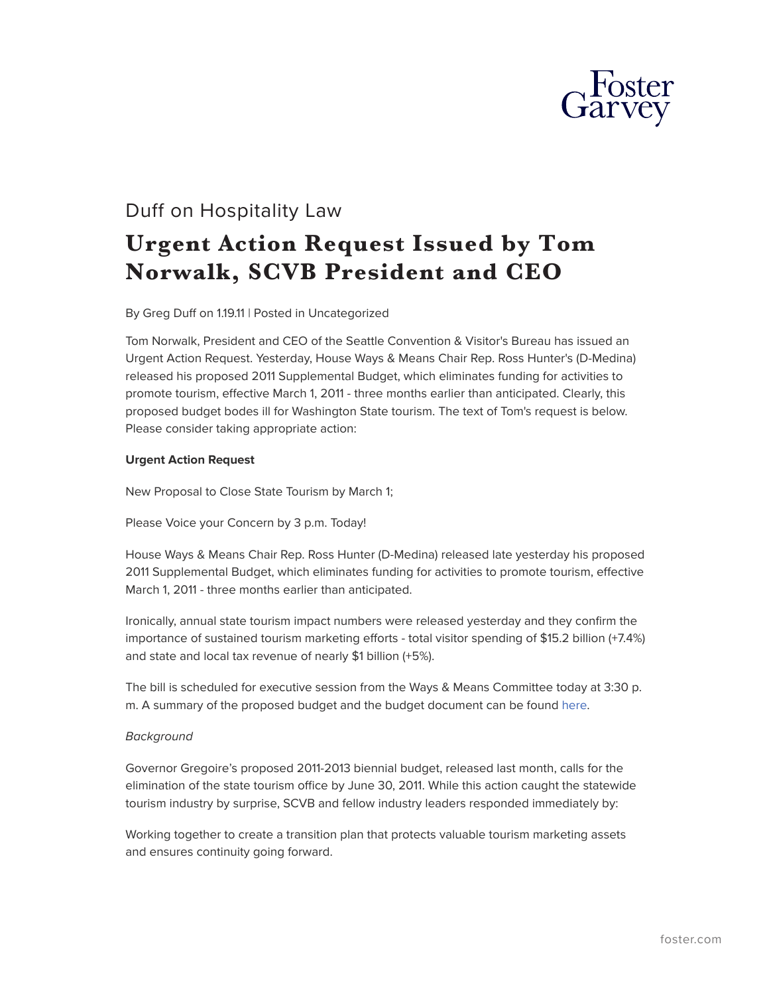

## Duff on Hospitality Law

## **Urgent Action Request Issued by Tom Norwalk, SCVB President and CEO**

By Greg Duff on 1.19.11 | Posted in Uncategorized

Tom Norwalk, President and CEO of the Seattle Convention & Visitor's Bureau has issued an Urgent Action Request. Yesterday, House Ways & Means Chair Rep. Ross Hunter's (D-Medina) released his proposed 2011 Supplemental Budget, which eliminates funding for activities to promote tourism, effective March 1, 2011 - three months earlier than anticipated. Clearly, this proposed budget bodes ill for Washington State tourism. The text of Tom's request is below. Please consider taking appropriate action:

## **Urgent Action Request**

New Proposal to Close State Tourism by March 1;

Please Voice your Concern by 3 p.m. Today!

House Ways & Means Chair Rep. Ross Hunter (D-Medina) released late yesterday his proposed 2011 Supplemental Budget, which eliminates funding for activities to promote tourism, effective March 1, 2011 - three months earlier than anticipated.

Ironically, annual state tourism impact numbers were released yesterday and they confirm the importance of sustained tourism marketing efforts - total visitor spending of \$15.2 billion (+7.4%) and state and local tax revenue of nearly \$1 billion (+5%).

The bill is scheduled for executive session from the Ways & Means Committee today at 3:30 p. m. A summary of the proposed budget and the budget document can be found [here.](http://leap.leg.wa.gov/leap/budget/detail/2011/ho2011p.asp)

## *Background*

Governor Gregoire's proposed 2011-2013 biennial budget, released last month, calls for the elimination of the state tourism office by June 30, 2011. While this action caught the statewide tourism industry by surprise, SCVB and fellow industry leaders responded immediately by:

Working together to create a transition plan that protects valuable tourism marketing assets and ensures continuity going forward.